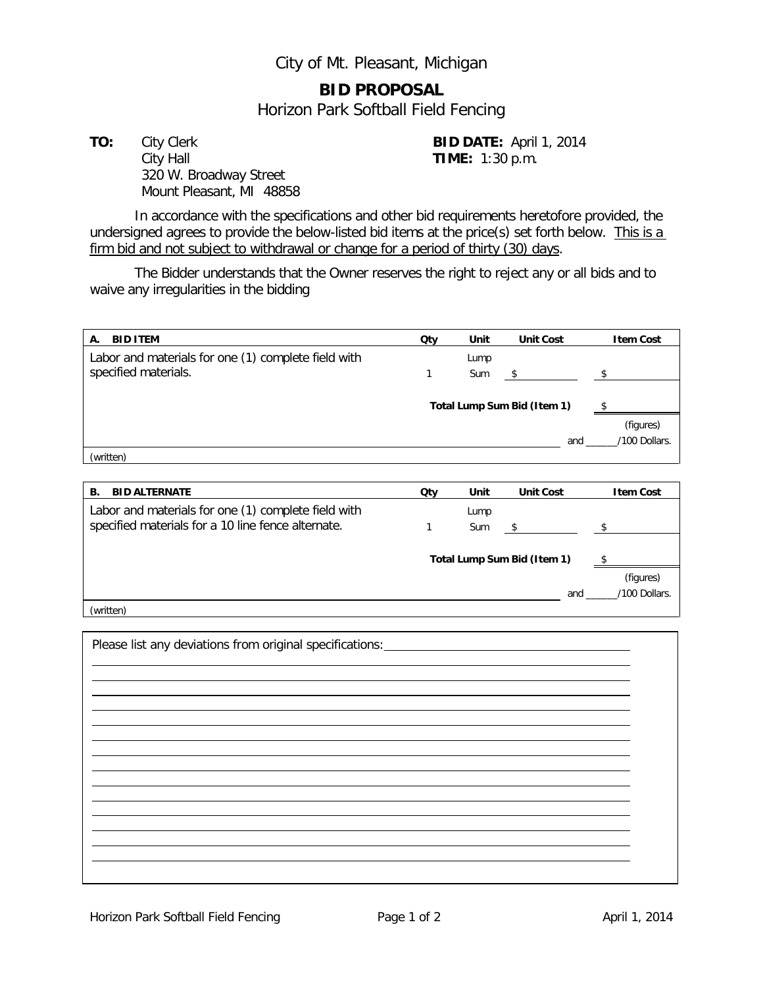City of Mt. Pleasant, Michigan

## **BID PROPOSAL**

Horizon Park Softball Field Fencing

**TO:** City Clerk **BID DATE:** April 1, 2014 City Hall **TIME:** 1:30 p.m. 320 W. Broadway Street Mount Pleasant, MI 48858

In accordance with the specifications and other bid requirements heretofore provided, the undersigned agrees to provide the below-listed bid items at the price(s) set forth below. This is a firm bid and not subject to withdrawal or change for a period of thirty (30) days.

The Bidder understands that the Owner reserves the right to reject any or all bids and to waive any irregularities in the bidding

| <b>BID ITEM</b><br>А.                               | Qty                         | Unit | <b>Unit Cost</b> | <b>Item Cost</b>   |
|-----------------------------------------------------|-----------------------------|------|------------------|--------------------|
| Labor and materials for one (1) complete field with |                             | Lump |                  |                    |
| specified materials.                                | 1                           | Sum  | \$               | $^{\circ}$         |
|                                                     |                             |      |                  |                    |
|                                                     | Total Lump Sum Bid (Item 1) |      |                  |                    |
|                                                     |                             |      |                  | (figures)          |
|                                                     |                             |      | and              | /100 Dollars.      |
| (written)                                           |                             |      |                  |                    |
|                                                     |                             |      |                  |                    |
| <b>BID ALTERNATE</b><br><b>B.</b>                   | Qty                         | Unit | <b>Unit Cost</b> | <b>Item Cost</b>   |
| Labor and materials for one (1) complete field with |                             | Lump |                  |                    |
| specified materials for a 10 line fence alternate.  | 1                           | Sum  | \$               | $\hat{\mathbf{r}}$ |
|                                                     |                             |      |                  |                    |
|                                                     | Total Lump Sum Bid (Item 1) |      |                  |                    |
|                                                     |                             |      |                  | (figures)          |
|                                                     |                             |      | and              | /100 Dollars.      |
| (written)                                           |                             |      |                  |                    |